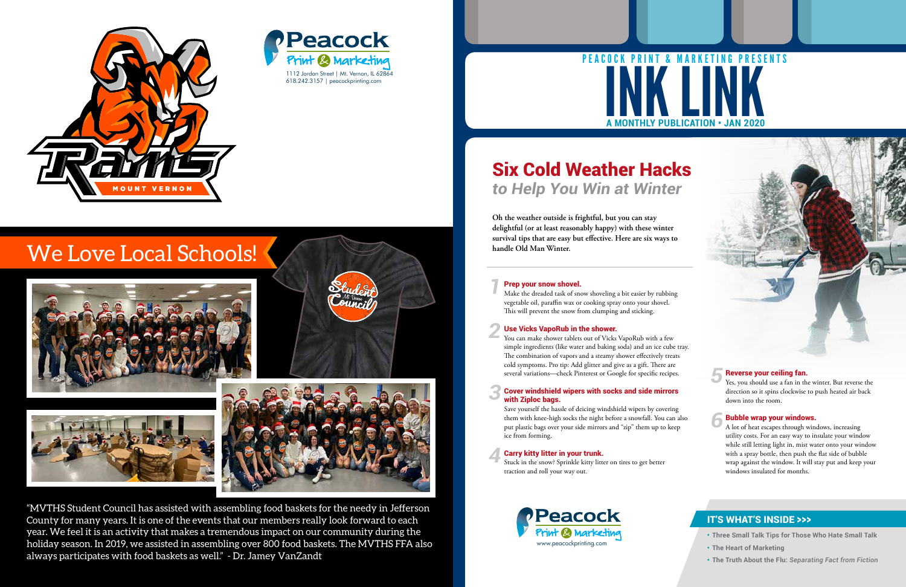- **• Three Small Talk Tips for Those Who Hate Small Talk**
- **• The Heart of Marketing**
- **• The Truth About the Flu:** *Separating Fact from Fiction*

## IT'S WHAT'S INSIDE >>>

*4*

*1* Make the dreaded task of snow shoveling a bit easier by rubbing<br>vegetable oil, paraffin wax or cooking spray onto your shovel. vegetable oil, paraffin wax or cooking spray onto your shovel.<br>This will prevent the spow from clumping and sticking. This will prevent the snow from clumping and sticking.

#### *2* Use Vicks VapoRub in the shower.

#### *3* Cover windshield wipers with socks and side mirrors with Ziploc bags.

You can make shower tablets out of Vicks VapoRub with a few simple ingredients (like water and baking soda) and an ice cube tray. The combination of vapors and a steamy shower effectively treats cold symptoms. Pro tip: Add glitter and give as a gift. There are several variations—check Pinterest or Google for specific recipes.

Save yourself the hassle of deicing windshield wipers by covering them with knee-high socks the night before a snowfall. You can also put plastic bags over your side mirrors and "zip" them up to keep ice from forming.

# **MONTHLY PUBLICATION • JAN 2020** INK LINK PEACOCK PRINT & MARKETING PRESENTS

#### Carry kitty litter in your trunk.

Stuck in the snow? Sprinkle kitty litter on tires to get better traction and roll your way out.

#### Reverse your ceiling fan.

Yes, you should use a fan in the winter. But reverse the direction so it spins clockwise to push heated air back down into the room.

holiday season. In 2019, we assisted in assembling over 800 food baskets. The MVTHS FFA also<br>always participates with food baskets as well." - Dr. Jamey VanZandt<br>. "MVTHS Student Council has assisted with assembling food baskets for the needy in Jefferson County for many years. It is one of the events that our members really look forward to each year. We feel it is an activity that makes a tremendous impact on our community during the always participates with food baskets as well." - Dr. Jamey VanZandt



#### Bubble wrap your windows.

A lot of heat escapes through windows, increasing utility costs. For an easy way to insulate your window while still letting light in, mist water onto your window with a spray bottle, then push the flat side of bubble wrap against the window. It will stay put and keep your windows insulated for months.

*5*

*6*

**Oh the weather outside is frightful, but you can stay delightful (or at least reasonably happy) with these winter survival tips that are easy but effective. Here are six ways to handle Old Man Winter.**

#### **For Fighter 1 Separate 1 Separate 1** Screens will be held **Prep yo**

## Six Cold Weather Hacks *to Help You Win at Winter*





**ATTENTION:**